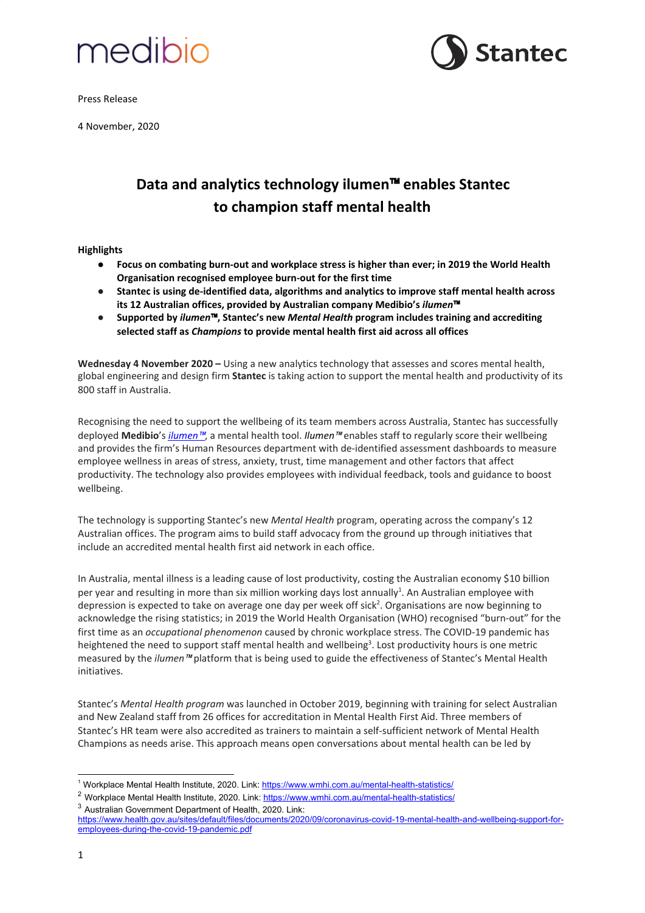

Press Release

4 November, 2020



# **Data and analytics technology ilumen**™ **enables Stantec to champion staff mental health**

## **Highlights**

- **● Focus on combating burn-out and workplace stress is higher than ever; in 2019 the World Health Organisation recognised employee burn-out for the first time**
- **Stantec is using de-identified data, algorithms and analytics to improve staff mental health across its 12 Australian offices, provided by Australian company Medibio's** *ilumen*™
- **Supported by** *ilumen*™**, Stantec's new** *Mental Health* **program includes training and accrediting selected staff as** *Champions* **to provide mental health first aid across all offices**

**Wednesday 4 November 2020 –** Using a new analytics technology that assesses and scores mental health, global engineering and design firm **Stantec** is taking action to support the mental health and productivity of its 800 staff in Australia.

Recognising the need to support the wellbeing of its team members across Australia, Stantec has successfully deployed **Medibio**'s *[ilumen](http://ilumen.app/)*™, a mental health tool. *Ilumen*™ enables staff to regularly score their wellbeing and provides the firm's Human Resources department with de-identified assessment dashboards to measure employee wellness in areas of stress, anxiety, trust, time management and other factors that affect productivity. The technology also provides employees with individual feedback, tools and guidance to boost wellbeing.

The technology is supporting Stantec's new *Mental Health* program, operating across the company's 12 Australian offices. The program aims to build staff advocacy from the ground up through initiatives that include an accredited mental health first aid network in each office.

In Australia, mental illness is a leading cause of lost productivity, costing the Australian economy \$10 billion per year and resulting in more than six million working days lost annually<sup>1</sup>. An Australian employee with depression is expected to take on average one day per week off sick<sup>2</sup>. Organisations are now beginning to acknowledge the rising statistics; in 2019 the World Health Organisation (WHO) recognised "burn-out" for the first time as an *occupational phenomenon* caused by chronic workplace stress. The COVID-19 pandemic has heightened the need to support staff mental health and wellbeing 3 . Lost productivity hours is one metric measured by the *ilumen*™ platform that is being used to guide the effectiveness of Stantec's Mental Health initiatives.

Stantec's *Mental Health program* was launched in October 2019, beginning with training for select Australian and New Zealand staff from 26 offices for accreditation in Mental Health First Aid. Three members of Stantec's HR team were also accredited as trainers to maintain a self-sufficient network of Mental Health Champions as needs arise. This approach means open conversations about mental health can be led by

<sup>&</sup>lt;sup>1</sup> Workplace Mental Health Institute, 2020. Link: <https://www.wmhi.com.au/mental-health-statistics/>

<sup>&</sup>lt;sup>2</sup> Workplace Mental Health Institute, 2020. Link: <https://www.wmhi.com.au/mental-health-statistics/> <sup>3</sup> Australian Government Department of Health, 2020. Link:

[https://www.health.gov.au/sites/default/files/documents/2020/09/coronavirus-covid-19-mental-health-and-wellbeing-support-for](https://www.health.gov.au/sites/default/files/documents/2020/09/coronavirus-covid-19-mental-health-and-wellbeing-support-for-employees-during-the-covid-19-pandemic.pdf)[employees-during-the-covid-19-pandemic.pdf](https://www.health.gov.au/sites/default/files/documents/2020/09/coronavirus-covid-19-mental-health-and-wellbeing-support-for-employees-during-the-covid-19-pandemic.pdf)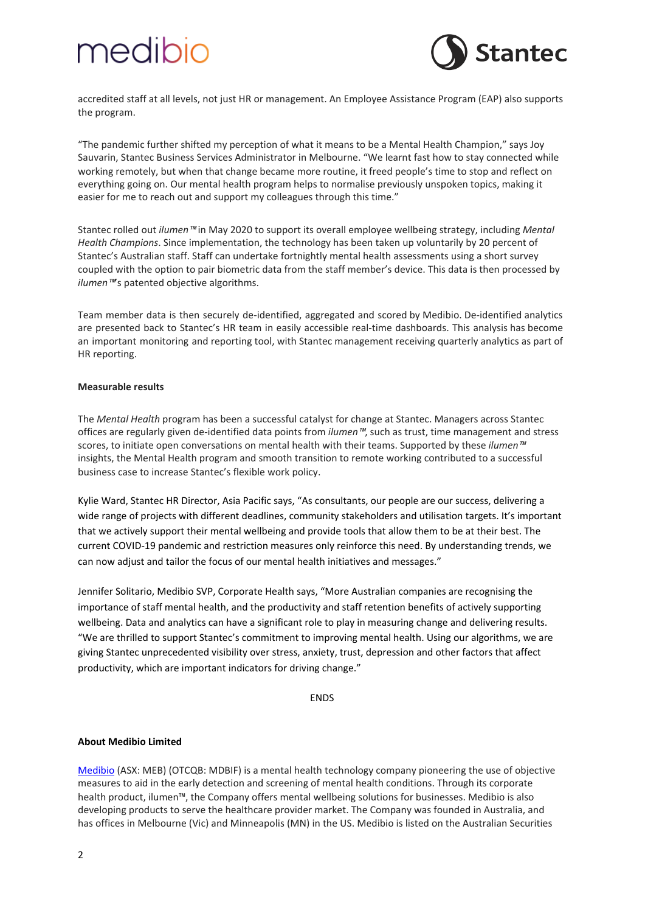# medibio



accredited staff at all levels, not just HR or management. An Employee Assistance Program (EAP) also supports the program.

"The pandemic further shifted my perception of what it means to be a Mental Health Champion," says Joy Sauvarin, Stantec Business Services Administrator in Melbourne. "We learnt fast how to stay connected while working remotely, but when that change became more routine, it freed people's time to stop and reflect on everything going on. Our mental health program helps to normalise previously unspoken topics, making it easier for me to reach out and support my colleagues through this time."

Stantec rolled out *ilumen*™ in May 2020 to support its overall employee wellbeing strategy, including *Mental Health Champions*. Since implementation, the technology has been taken up voluntarily by 20 percent of Stantec's Australian staff. Staff can undertake fortnightly mental health assessments using a short survey coupled with the option to pair biometric data from the staff member's device. This data is then processed by *ilumen*<sup>™</sup>s patented objective algorithms.

Team member data is then securely de-identified, aggregated and scored by Medibio. De-identified analytics are presented back to Stantec's HR team in easily accessible real-time dashboards. This analysis has become an important monitoring and reporting tool, with Stantec management receiving quarterly analytics as part of HR reporting.

### **Measurable results**

The *Mental Health* program has been a successful catalyst for change at Stantec. Managers across Stantec offices are regularly given de-identified data points from *ilumen*™, such as trust, time management and stress scores, to initiate open conversations on mental health with their teams. Supported by these *ilumen*™ insights, the Mental Health program and smooth transition to remote working contributed to a successful business case to increase Stantec's flexible work policy.

Kylie Ward, Stantec HR Director, Asia Pacific says, "As consultants, our people are our success, delivering a wide range of projects with different deadlines, community stakeholders and utilisation targets. It's important that we actively support their mental wellbeing and provide tools that allow them to be at their best. The current COVID-19 pandemic and restriction measures only reinforce this need. By understanding trends, we can now adjust and tailor the focus of our mental health initiatives and messages."

Jennifer Solitario, Medibio SVP, Corporate Health says, "More Australian companies are recognising the importance of staff mental health, and the productivity and staff retention benefits of actively supporting wellbeing. Data and analytics can have a significant role to play in measuring change and delivering results. "We are thrilled to support Stantec's commitment to improving mental health. Using our algorithms, we are giving Stantec unprecedented visibility over stress, anxiety, trust, depression and other factors that affect productivity, which are important indicators for driving change."

ENDS

## **About Medibio Limited**

[Medibio](https://medibio.com.au/) (ASX: MEB) (OTCQB: MDBIF) is a mental health technology company pioneering the use of objective measures to aid in the early detection and screening of mental health conditions. Through its corporate health product, ilumen™, the Company offers mental wellbeing solutions for businesses. Medibio is also developing products to serve the healthcare provider market. The Company was founded in Australia, and has offices in Melbourne (Vic) and Minneapolis (MN) in the US. Medibio is listed on the Australian Securities